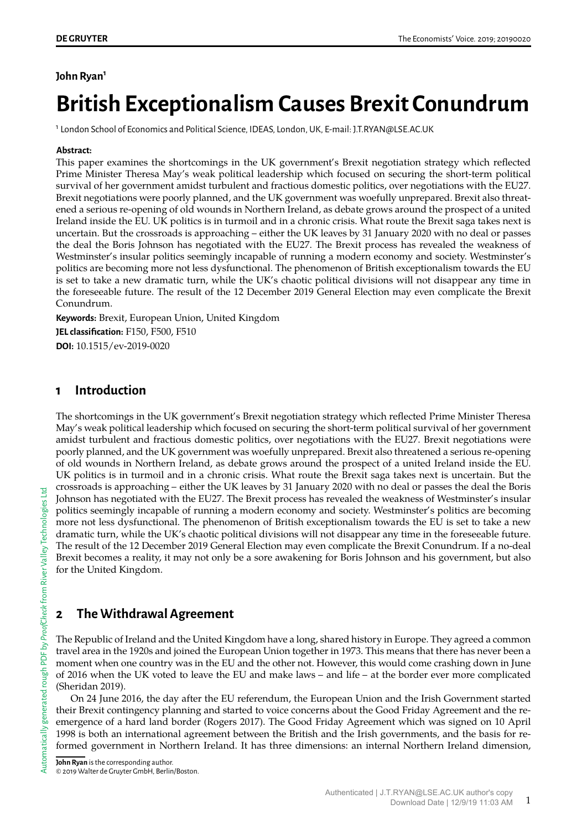### **John Ryan<sup>1</sup>**

# **British Exceptionalism Causes Brexit Conundrum**

<sup>1</sup> London School of Economics and Political Science, IDEAS, London, UK, E-mail: J.T.RYAN@LSE.AC.UK

#### **Abstract:**

This paper examines the shortcomings in the UK government's Brexit negotiation strategy which reflected Prime Minister Theresa May's weak political leadership which focused on securing the short-term political survival of her government amidst turbulent and fractious domestic politics, over negotiations with the EU27. Brexit negotiations were poorly planned, and the UK government was woefully unprepared. Brexit also threatened a serious re-opening of old wounds in Northern Ireland, as debate grows around the prospect of a united Ireland inside the EU. UK politics is in turmoil and in a chronic crisis. What route the Brexit saga takes next is uncertain. But the crossroads is approaching – either the UK leaves by 31 January 2020 with no deal or passes the deal the Boris Johnson has negotiated with the EU27. The Brexit process has revealed the weakness of Westminster's insular politics seemingly incapable of running a modern economy and society. Westminster's politics are becoming more not less dysfunctional. The phenomenon of British exceptionalism towards the EU is set to take a new dramatic turn, while the UK's chaotic political divisions will not disappear any time in the foreseeable future. The result of the 12 December 2019 General Election may even complicate the Brexit Conundrum.

**Keywords:** Brexit, European Union, United Kingdom

**JEL classification:** F150, F500, F510 **DOI:** 10.1515/ev-2019-0020

# **1 Introduction**

The shortcomings in the UK government's Brexit negotiation strategy which reflected Prime Minister Theresa May's weak political leadership which focused on securing the short-term political survival of her government amidst turbulent and fractious domestic politics, over negotiations with the EU27. Brexit negotiations were poorly planned, and the UK government was woefully unprepared. Brexit also threatened a serious re-opening of old wounds in Northern Ireland, as debate grows around the prospect of a united Ireland inside the EU. UK politics is in turmoil and in a chronic crisis. What route the Brexit saga takes next is uncertain. But the crossroads is approaching – either the UK leaves by 31 January 2020 with no deal or passes the deal the Boris Johnson has negotiated with the EU27. The Brexit process has revealed the weakness of Westminster's insular politics seemingly incapable of running a modern economy and society. Westminster's politics are becoming more not less dysfunctional. The phenomenon of British exceptionalism towards the EU is set to take a new dramatic turn, while the UK's chaotic political divisions will not disappear any time in the foreseeable future. The result of the 12 December 2019 General Election may even complicate the Brexit Conundrum. If a no-deal Brexit becomes a reality, it may not only be a sore awakening for Boris Johnson and his government, but also for the United Kingdom.

# **2 The Withdrawal Agreement**

[Automatically](http://rivervalleytechnologies.com/products/) generated rough PDF by *ProofCheck* from River Valley Technologies Ltd

ੜੋ

tomatically generated rough PDF by *ProofCheck* from River Valley Technologies Ltd

The Republic of Ireland and the United Kingdom have a long, shared history in Europe. They agreed a common travel area in the 1920s and joined the European Union together in 1973. This means that there has never been a moment when one country was in the EU and the other not. However, this would come crashing down in June of 2016 when the UK voted to leave the EU and make laws – and life – at the border ever more complicated (Sheridan 2019).

On 24 June 2016, the day after the EU referendum, the European Union and the Irish Government started their Brexit contingency planning and started to voice concerns about the Good Friday Agreement and the reemergence of a hard land border (Rogers 2017). The Good Friday Agreement which was signed on 10 April 1998 is both an international agreement between the British and the Irish governments, and the basis for reformed government in Northern Ireland. It has three dimensions: an internal Northern Ireland dimension,

© 2019 Walter de Gruyter GmbH, Berlin/Boston.

**John Ryan** is the corresponding author.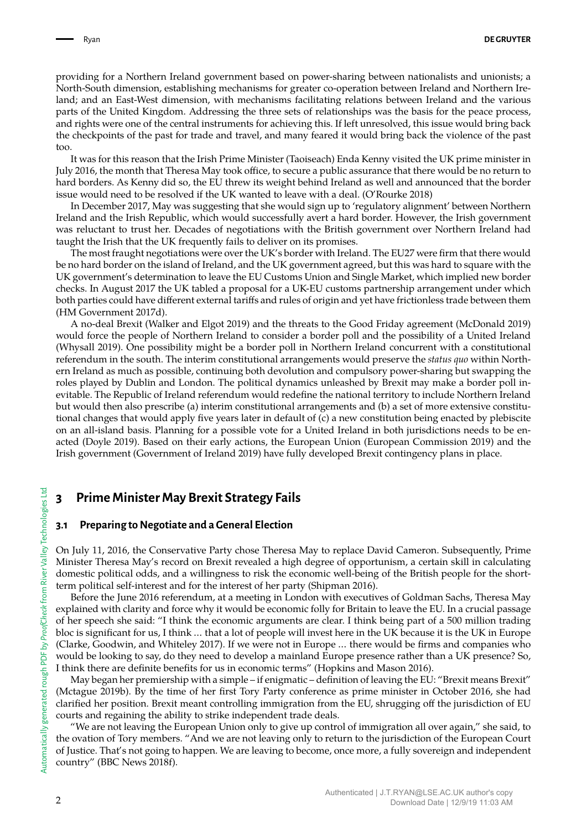providing for a Northern Ireland government based on power-sharing between nationalists and unionists; a North-South dimension, establishing mechanisms for greater co-operation between Ireland and Northern Ireland; and an East-West dimension, with mechanisms facilitating relations between Ireland and the various parts of the United Kingdom. Addressing the three sets of relationships was the basis for the peace process, and rights were one of the central instruments for achieving this. If left unresolved, this issue would bring back the checkpoints of the past for trade and travel, and many feared it would bring back the violence of the past too.

It was for this reason that the Irish Prime Minister (Taoiseach) Enda Kenny visited the UK prime minister in July 2016, the month that Theresa May took office, to secure a public assurance that there would be no return to hard borders. As Kenny did so, the EU threw its weight behind Ireland as well and announced that the border issue would need to be resolved if the UK wanted to leave with a deal. (O'Rourke 2018)

In December 2017, May was suggesting that she would sign up to 'regulatory alignment' between Northern Ireland and the Irish Republic, which would successfully avert a hard border. However, the Irish government was reluctant to trust her. Decades of negotiations with the British government over Northern Ireland had taught the Irish that the UK frequently fails to deliver on its promises.

The most fraught negotiations were over the UK's border with Ireland. The EU27 were firm that there would be no hard border on the island of Ireland, and the UK government agreed, but this was hard to square with the UK government's determination to leave the EU Customs Union and Single Market, which implied new border checks. In August 2017 the UK tabled a proposal for a UK-EU customs partnership arrangement under which both parties could have different external tariffs and rules of origin and yet have frictionless trade between them (HM Government 2017d).

A no-deal Brexit (Walker and Elgot 2019) and the threats to the Good Friday agreement (McDonald 2019) would force the people of Northern Ireland to consider a border poll and the possibility of a United Ireland (Whysall 2019). One possibility might be a border poll in Northern Ireland concurrent with a constitutional referendum in the south. The interim constitutional arrangements would preserve the *status quo* within Northern Ireland as much as possible, continuing both devolution and compulsory power-sharing but swapping the roles played by Dublin and London. The political dynamics unleashed by Brexit may make a border poll inevitable. The Republic of Ireland referendum would redefine the national territory to include Northern Ireland but would then also prescribe (a) interim constitutional arrangements and (b) a set of more extensive constitutional changes that would apply five years later in default of (c) a new constitution being enacted by plebiscite on an all-island basis. Planning for a possible vote for a United Ireland in both jurisdictions needs to be enacted (Doyle 2019). Based on their early actions, the European Union (European Commission 2019) and the Irish government (Government of Ireland 2019) have fully developed Brexit contingency plans in place.

## **3 Prime Minister May Brexit Strategy Fails**

#### **3.1 Preparing to Negotiate and a General Election**

On July 11, 2016, the Conservative Party chose Theresa May to replace David Cameron. Subsequently, Prime Minister Theresa May's record on Brexit revealed a high degree of opportunism, a certain skill in calculating domestic political odds, and a willingness to risk the economic well-being of the British people for the shortterm political self-interest and for the interest of her party (Shipman 2016).

Before the June 2016 referendum, at a meeting in London with executives of Goldman Sachs, Theresa May explained with clarity and force why it would be economic folly for Britain to leave the EU. In a crucial passage of her speech she said: "I think the economic arguments are clear. I think being part of a 500 million trading bloc is significant for us, I think … that a lot of people will invest here in the UK because it is the UK in Europe (Clarke, Goodwin, and Whiteley 2017). If we were not in Europe … there would be firms and companies who would be looking to say, do they need to develop a mainland Europe presence rather than a UK presence? So, I think there are definite benefits for us in economic terms" (Hopkins and Mason 2016).

May began her premiership with a simple – if enigmatic – definition of leaving the EU: "Brexit means Brexit" (Mctague 2019b). By the time of her first Tory Party conference as prime minister in October 2016, she had clarified her position. Brexit meant controlling immigration from the EU, shrugging off the jurisdiction of EU courts and regaining the ability to strike independent trade deals.

"We are not leaving the European Union only to give up control of immigration all over again," she said, to the ovation of Tory members. "And we are not leaving only to return to the jurisdiction of the European Court of Justice. That's not going to happen. We are leaving to become, once more, a fully sovereign and independent country" (BBC News 2018f).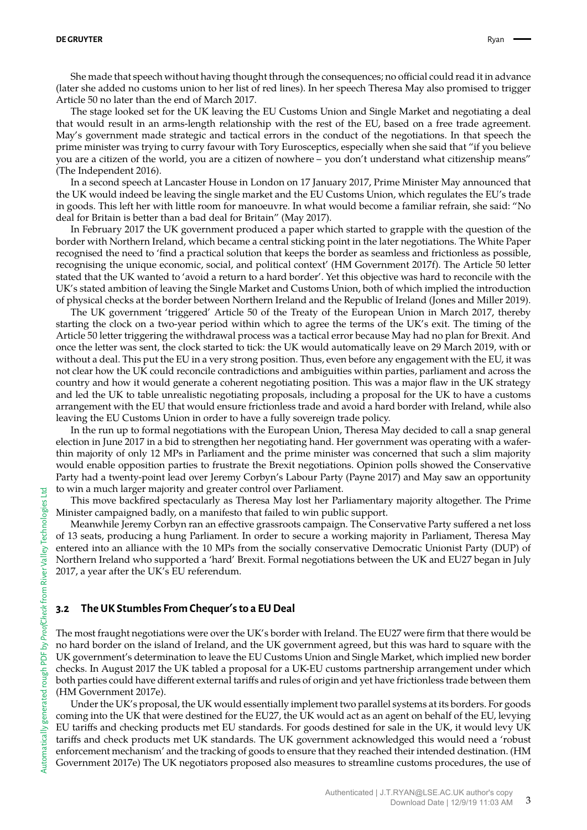#### **DE GRUYTER** Ryan

She made that speech without having thought through the consequences; no official could read it in advance (later she added no customs union to her list of red lines). In her speech Theresa May also promised to trigger Article 50 no later than the end of March 2017.

The stage looked set for the UK leaving the EU Customs Union and Single Market and negotiating a deal that would result in an arms-length relationship with the rest of the EU, based on a free trade agreement. May's government made strategic and tactical errors in the conduct of the negotiations. In that speech the prime minister was trying to curry favour with Tory Eurosceptics, especially when she said that "if you believe you are a citizen of the world, you are a citizen of nowhere – you don't understand what citizenship means" (The Independent 2016).

In a second speech at Lancaster House in London on 17 January 2017, Prime Minister May announced that the UK would indeed be leaving the single market and the EU Customs Union, which regulates the EU's trade in goods. This left her with little room for manoeuvre. In what would become a familiar refrain, she said: "No deal for Britain is better than a bad deal for Britain" (May 2017).

In February 2017 the UK government produced a paper which started to grapple with the question of the border with Northern Ireland, which became a central sticking point in the later negotiations. The White Paper recognised the need to 'find a practical solution that keeps the border as seamless and frictionless as possible, recognising the unique economic, social, and political context' (HM Government 2017f). The Article 50 letter stated that the UK wanted to 'avoid a return to a hard border'. Yet this objective was hard to reconcile with the UK's stated ambition of leaving the Single Market and Customs Union, both of which implied the introduction of physical checks at the border between Northern Ireland and the Republic of Ireland (Jones and Miller 2019).

The UK government 'triggered' Article 50 of the Treaty of the European Union in March 2017, thereby starting the clock on a two-year period within which to agree the terms of the UK's exit. The timing of the Article 50 letter triggering the withdrawal process was a tactical error because May had no plan for Brexit. And once the letter was sent, the clock started to tick: the UK would automatically leave on 29 March 2019, with or without a deal. This put the EU in a very strong position. Thus, even before any engagement with the EU, it was not clear how the UK could reconcile contradictions and ambiguities within parties, parliament and across the country and how it would generate a coherent negotiating position. This was a major flaw in the UK strategy and led the UK to table unrealistic negotiating proposals, including a proposal for the UK to have a customs arrangement with the EU that would ensure frictionless trade and avoid a hard border with Ireland, while also leaving the EU Customs Union in order to have a fully sovereign trade policy.

In the run up to formal negotiations with the European Union, Theresa May decided to call a snap general election in June 2017 in a bid to strengthen her negotiating hand. Her government was operating with a waferthin majority of only 12 MPs in Parliament and the prime minister was concerned that such a slim majority would enable opposition parties to frustrate the Brexit negotiations. Opinion polls showed the Conservative Party had a twenty-point lead over Jeremy Corbyn's Labour Party (Payne 2017) and May saw an opportunity to win a much larger majority and greater control over Parliament.

This move backfired spectacularly as Theresa May lost her Parliamentary majority altogether. The Prime Minister campaigned badly, on a manifesto that failed to win public support.

Meanwhile Jeremy Corbyn ran an effective grassroots campaign. The Conservative Party suffered a net loss of 13 seats, producing a hung Parliament. In order to secure a working majority in Parliament, Theresa May entered into an alliance with the 10 MPs from the socially conservative Democratic Unionist Party (DUP) of Northern Ireland who supported a 'hard' Brexit. Formal negotiations between the UK and EU27 began in July 2017, a year after the UK's EU referendum.

#### **3.2 The UK Stumbles From Chequer**'**s to a EU Deal**

The most fraught negotiations were over the UK's border with Ireland. The EU27 were firm that there would be no hard border on the island of Ireland, and the UK government agreed, but this was hard to square with the UK government's determination to leave the EU Customs Union and Single Market, which implied new border checks. In August 2017 the UK tabled a proposal for a UK-EU customs partnership arrangement under which both parties could have different external tariffs and rules of origin and yet have frictionless trade between them (HM Government 2017e).

Under the UK's proposal, the UK would essentially implement two parallel systems at its borders. For goods coming into the UK that were destined for the EU27, the UK would act as an agent on behalf of the EU, levying EU tariffs and checking products met EU standards. For goods destined for sale in the UK, it would levy UK tariffs and check products met UK standards. The UK government acknowledged this would need a 'robust enforcement mechanism' and the tracking of goods to ensure that they reached their intended destination. (HM Government 2017e) The UK negotiators proposed also measures to streamline customs procedures, the use of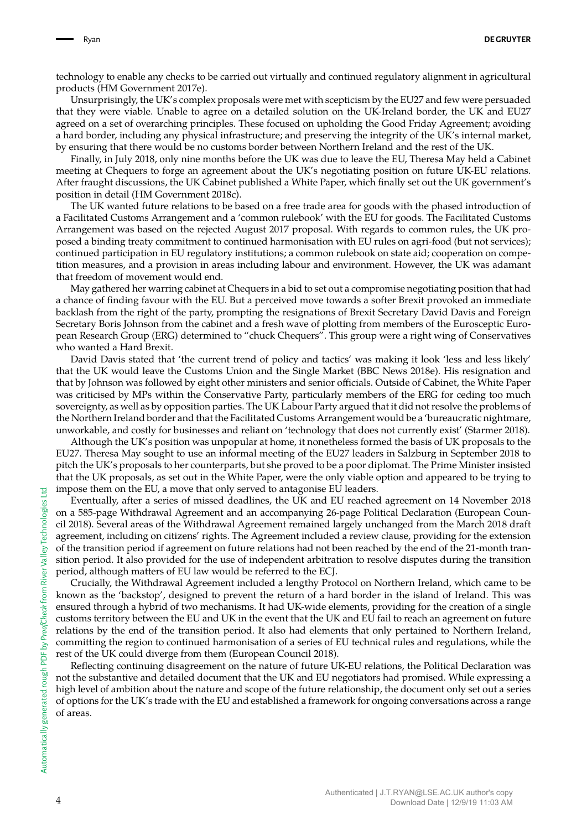technology to enable any checks to be carried out virtually and continued regulatory alignment in agricultural products (HM Government 2017e).

Unsurprisingly, the UK's complex proposals were met with scepticism by the EU27 and few were persuaded that they were viable. Unable to agree on a detailed solution on the UK-Ireland border, the UK and EU27 agreed on a set of overarching principles. These focused on upholding the Good Friday Agreement; avoiding a hard border, including any physical infrastructure; and preserving the integrity of the UK's internal market, by ensuring that there would be no customs border between Northern Ireland and the rest of the UK.

Finally, in July 2018, only nine months before the UK was due to leave the EU, Theresa May held a Cabinet meeting at Chequers to forge an agreement about the UK's negotiating position on future UK-EU relations. After fraught discussions, the UK Cabinet published a White Paper, which finally set out the UK government's position in detail (HM Government 2018c).

The UK wanted future relations to be based on a free trade area for goods with the phased introduction of a Facilitated Customs Arrangement and a 'common rulebook' with the EU for goods. The Facilitated Customs Arrangement was based on the rejected August 2017 proposal. With regards to common rules, the UK proposed a binding treaty commitment to continued harmonisation with EU rules on agri-food (but not services); continued participation in EU regulatory institutions; a common rulebook on state aid; cooperation on competition measures, and a provision in areas including labour and environment. However, the UK was adamant that freedom of movement would end.

May gathered her warring cabinet at Chequers in a bid to set out a compromise negotiating position that had a chance of finding favour with the EU. But a perceived move towards a softer Brexit provoked an immediate backlash from the right of the party, prompting the resignations of Brexit Secretary David Davis and Foreign Secretary Boris Johnson from the cabinet and a fresh wave of plotting from members of the Eurosceptic European Research Group (ERG) determined to "chuck Chequers". This group were a right wing of Conservatives who wanted a Hard Brexit.

David Davis stated that 'the current trend of policy and tactics' was making it look 'less and less likely' that the UK would leave the Customs Union and the Single Market (BBC News 2018e). His resignation and that by Johnson was followed by eight other ministers and senior officials. Outside of Cabinet, the White Paper was criticised by MPs within the Conservative Party, particularly members of the ERG for ceding too much sovereignty, as well as by opposition parties. The UK Labour Party argued that it did not resolve the problems of the Northern Ireland border and that the Facilitated Customs Arrangement would be a 'bureaucratic nightmare, unworkable, and costly for businesses and reliant on 'technology that does not currently exist' (Starmer 2018).

Although the UK's position was unpopular at home, it nonetheless formed the basis of UK proposals to the EU27. Theresa May sought to use an informal meeting of the EU27 leaders in Salzburg in September 2018 to pitch the UK's proposals to her counterparts, but she proved to be a poor diplomat. The Prime Minister insisted that the UK proposals, as set out in the White Paper, were the only viable option and appeared to be trying to impose them on the EU, a move that only served to antagonise EU leaders.

Eventually, after a series of missed deadlines, the UK and EU reached agreement on 14 November 2018 on a 585-page Withdrawal Agreement and an accompanying 26-page Political Declaration (European Council 2018). Several areas of the Withdrawal Agreement remained largely unchanged from the March 2018 draft agreement, including on citizens' rights. The Agreement included a review clause, providing for the extension of the transition period if agreement on future relations had not been reached by the end of the 21-month transition period. It also provided for the use of independent arbitration to resolve disputes during the transition period, although matters of EU law would be referred to the ECJ.

Crucially, the Withdrawal Agreement included a lengthy Protocol on Northern Ireland, which came to be known as the 'backstop', designed to prevent the return of a hard border in the island of Ireland. This was ensured through a hybrid of two mechanisms. It had UK-wide elements, providing for the creation of a single customs territory between the EU and UK in the event that the UK and EU fail to reach an agreement on future relations by the end of the transition period. It also had elements that only pertained to Northern Ireland, committing the region to continued harmonisation of a series of EU technical rules and regulations, while the rest of the UK could diverge from them (European Council 2018).

Reflecting continuing disagreement on the nature of future UK-EU relations, the Political Declaration was not the substantive and detailed document that the UK and EU negotiators had promised. While expressing a high level of ambition about the nature and scope of the future relationship, the document only set out a series of options for the UK's trade with the EU and established a framework for ongoing conversations across a range of areas.

E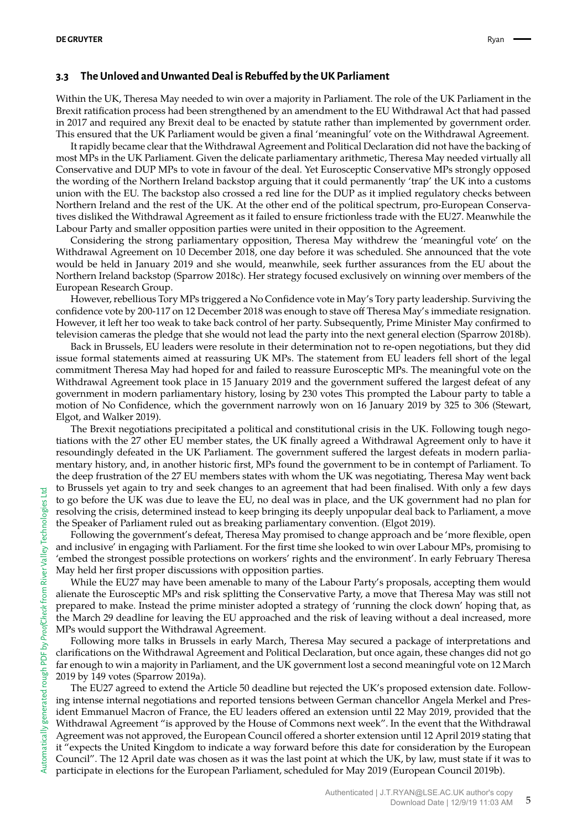#### **3.3 The Unloved and Unwanted Deal is Rebuffed by the UK Parliament**

Within the UK, Theresa May needed to win over a majority in Parliament. The role of the UK Parliament in the Brexit ratification process had been strengthened by an amendment to the EU Withdrawal Act that had passed in 2017 and required any Brexit deal to be enacted by statute rather than implemented by government order. This ensured that the UK Parliament would be given a final 'meaningful' vote on the Withdrawal Agreement.

It rapidly became clear that the Withdrawal Agreement and Political Declaration did not have the backing of most MPs in the UK Parliament. Given the delicate parliamentary arithmetic, Theresa May needed virtually all Conservative and DUP MPs to vote in favour of the deal. Yet Eurosceptic Conservative MPs strongly opposed the wording of the Northern Ireland backstop arguing that it could permanently 'trap' the UK into a customs union with the EU. The backstop also crossed a red line for the DUP as it implied regulatory checks between Northern Ireland and the rest of the UK. At the other end of the political spectrum, pro-European Conservatives disliked the Withdrawal Agreement as it failed to ensure frictionless trade with the EU27. Meanwhile the Labour Party and smaller opposition parties were united in their opposition to the Agreement.

Considering the strong parliamentary opposition, Theresa May withdrew the 'meaningful vote' on the Withdrawal Agreement on 10 December 2018, one day before it was scheduled. She announced that the vote would be held in January 2019 and she would, meanwhile, seek further assurances from the EU about the Northern Ireland backstop (Sparrow 2018c). Her strategy focused exclusively on winning over members of the European Research Group.

However, rebellious Tory MPs triggered a No Confidence vote in May's Tory party leadership. Surviving the confidence vote by 200-117 on 12 December 2018 was enough to stave off Theresa May's immediate resignation. However, it left her too weak to take back control of her party. Subsequently, Prime Minister May confirmed to television cameras the pledge that she would not lead the party into the next general election (Sparrow 2018b).

Back in Brussels, EU leaders were resolute in their determination not to re-open negotiations, but they did issue formal statements aimed at reassuring UK MPs. The statement from EU leaders fell short of the legal commitment Theresa May had hoped for and failed to reassure Eurosceptic MPs. The meaningful vote on the Withdrawal Agreement took place in 15 January 2019 and the government suffered the largest defeat of any government in modern parliamentary history, losing by 230 votes This prompted the Labour party to table a motion of No Confidence, which the government narrowly won on 16 January 2019 by 325 to 306 (Stewart, Elgot, and Walker 2019).

The Brexit negotiations precipitated a political and constitutional crisis in the UK. Following tough negotiations with the 27 other EU member states, the UK finally agreed a Withdrawal Agreement only to have it resoundingly defeated in the UK Parliament. The government suffered the largest defeats in modern parliamentary history, and, in another historic first, MPs found the government to be in contempt of Parliament. To the deep frustration of the 27 EU members states with whom the UK was negotiating, Theresa May went back to Brussels yet again to try and seek changes to an agreement that had been finalised. With only a few days to go before the UK was due to leave the EU, no deal was in place, and the UK government had no plan for resolving the crisis, determined instead to keep bringing its deeply unpopular deal back to Parliament, a move the Speaker of Parliament ruled out as breaking parliamentary convention. (Elgot 2019).

Following the government's defeat, Theresa May promised to change approach and be 'more flexible, open and inclusive' in engaging with Parliament. For the first time she looked to win over Labour MPs, promising to 'embed the strongest possible protections on workers' rights and the environment'. In early February Theresa May held her first proper discussions with opposition parties.

While the EU27 may have been amenable to many of the Labour Party's proposals, accepting them would alienate the Eurosceptic MPs and risk splitting the Conservative Party, a move that Theresa May was still not prepared to make. Instead the prime minister adopted a strategy of 'running the clock down' hoping that, as the March 29 deadline for leaving the EU approached and the risk of leaving without a deal increased, more MPs would support the Withdrawal Agreement.

Following more talks in Brussels in early March, Theresa May secured a package of interpretations and clarifications on the Withdrawal Agreement and Political Declaration, but once again, these changes did not go far enough to win a majority in Parliament, and the UK government lost a second meaningful vote on 12 March 2019 by 149 votes (Sparrow 2019a).

The EU27 agreed to extend the Article 50 deadline but rejected the UK's proposed extension date. Following intense internal negotiations and reported tensions between German chancellor Angela Merkel and President Emmanuel Macron of France, the EU leaders offered an extension until 22 May 2019, provided that the Withdrawal Agreement "is approved by the House of Commons next week". In the event that the Withdrawal Agreement was not approved, the European Council offered a shorter extension until 12 April 2019 stating that it "expects the United Kingdom to indicate a way forward before this date for consideration by the European Council". The 12 April date was chosen as it was the last point at which the UK, by law, must state if it was to participate in elections for the European Parliament, scheduled for May 2019 (European Council 2019b).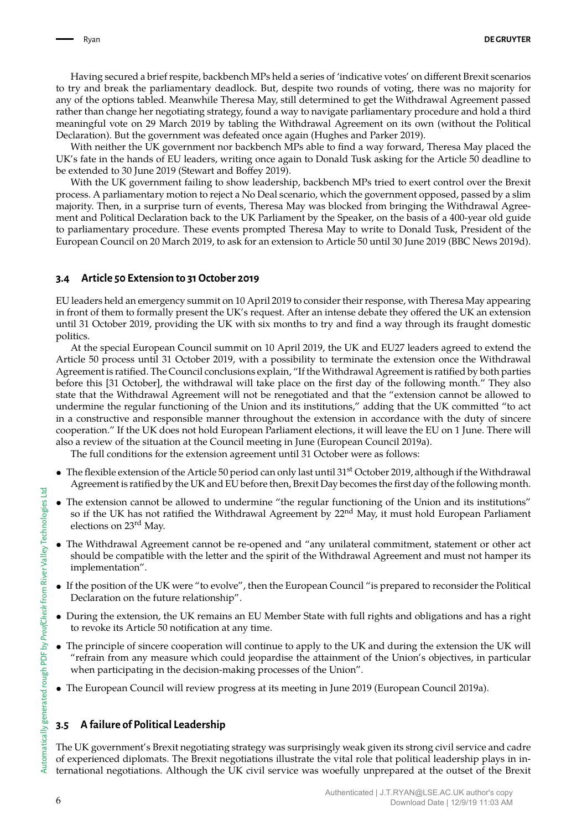Having secured a brief respite, backbench MPs held a series of 'indicative votes' on different Brexit scenarios to try and break the parliamentary deadlock. But, despite two rounds of voting, there was no majority for any of the options tabled. Meanwhile Theresa May, still determined to get the Withdrawal Agreement passed rather than change her negotiating strategy, found a way to navigate parliamentary procedure and hold a third meaningful vote on 29 March 2019 by tabling the Withdrawal Agreement on its own (without the Political Declaration). But the government was defeated once again (Hughes and Parker 2019).

With neither the UK government nor backbench MPs able to find a way forward, Theresa May placed the UK's fate in the hands of EU leaders, writing once again to Donald Tusk asking for the Article 50 deadline to be extended to 30 June 2019 (Stewart and Boffey 2019).

With the UK government failing to show leadership, backbench MPs tried to exert control over the Brexit process. A parliamentary motion to reject a No Deal scenario, which the government opposed, passed by a slim majority. Then, in a surprise turn of events, Theresa May was blocked from bringing the Withdrawal Agreement and Political Declaration back to the UK Parliament by the Speaker, on the basis of a 400-year old guide to parliamentary procedure. These events prompted Theresa May to write to Donald Tusk, President of the European Council on 20 March 2019, to ask for an extension to Article 50 until 30 June 2019 (BBC News 2019d).

#### **3.4 Article 50 Extension to 31 October 2019**

EU leaders held an emergency summit on 10 April 2019 to consider their response, with Theresa May appearing in front of them to formally present the UK's request. After an intense debate they offered the UK an extension until 31 October 2019, providing the UK with six months to try and find a way through its fraught domestic politics.

At the special European Council summit on 10 April 2019, the UK and EU27 leaders agreed to extend the Article 50 process until 31 October 2019, with a possibility to terminate the extension once the Withdrawal Agreement is ratified. The Council conclusions explain, "If the Withdrawal Agreement is ratified by both parties before this [31 October], the withdrawal will take place on the first day of the following month." They also state that the Withdrawal Agreement will not be renegotiated and that the "extension cannot be allowed to undermine the regular functioning of the Union and its institutions," adding that the UK committed "to act in a constructive and responsible manner throughout the extension in accordance with the duty of sincere cooperation." If the UK does not hold European Parliament elections, it will leave the EU on 1 June. There will also a review of the situation at the Council meeting in June (European Council 2019a).

The full conditions for the extension agreement until 31 October were as follows:

- The flexible extension of the Article 50 period can only last until 31<sup>st</sup> October 2019, although if the Withdrawal Agreement is ratified by the UK and EU before then, Brexit Day becomes the first day of the following month.
- The extension cannot be allowed to undermine "the regular functioning of the Union and its institutions" so if the UK has not ratified the Withdrawal Agreement by 22<sup>nd</sup> May, it must hold European Parliament elections on 23rd May.
- The Withdrawal Agreement cannot be re-opened and "any unilateral commitment, statement or other act should be compatible with the letter and the spirit of the Withdrawal Agreement and must not hamper its implementation".
- If the position of the UK were "to evolve", then the European Council "is prepared to reconsider the Political Declaration on the future relationship".
- During the extension, the UK remains an EU Member State with full rights and obligations and has a right to revoke its Article 50 notification at any time.
- The principle of sincere cooperation will continue to apply to the UK and during the extension the UK will "refrain from any measure which could jeopardise the attainment of the Union's objectives, in particular when participating in the decision-making processes of the Union".
- The European Council will review progress at its meeting in June 2019 (European Council 2019a).

#### **3.5 A failure of Political Leadership**

The UK government's Brexit negotiating strategy was surprisingly weak given its strong civil service and cadre of experienced diplomats. The Brexit negotiations illustrate the vital role that political leadership plays in international negotiations. Although the UK civil service was woefully unprepared at the outset of the Brexit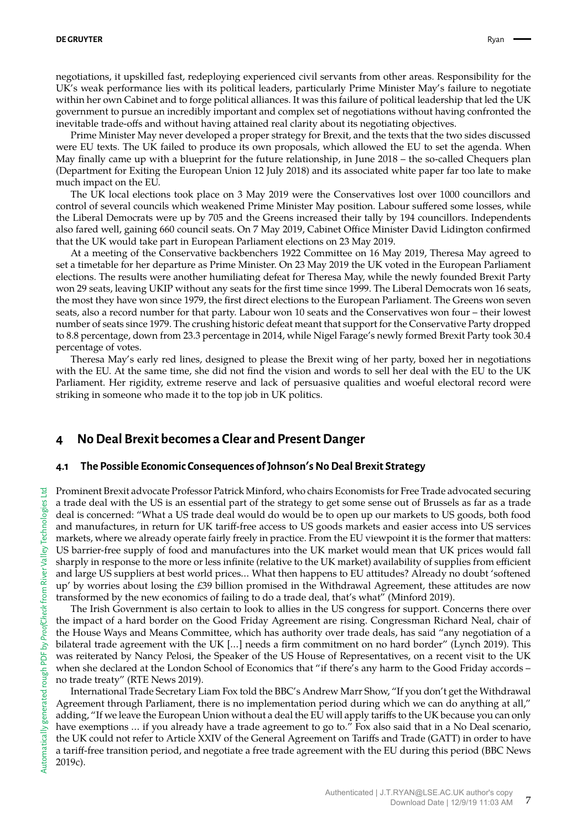negotiations, it upskilled fast, redeploying experienced civil servants from other areas. Responsibility for the UK's weak performance lies with its political leaders, particularly Prime Minister May's failure to negotiate within her own Cabinet and to forge political alliances. It was this failure of political leadership that led the UK government to pursue an incredibly important and complex set of negotiations without having confronted the inevitable trade-offs and without having attained real clarity about its negotiating objectives.

Prime Minister May never developed a proper strategy for Brexit, and the texts that the two sides discussed were EU texts. The UK failed to produce its own proposals, which allowed the EU to set the agenda. When May finally came up with a blueprint for the future relationship, in June 2018 – the so-called Chequers plan (Department for Exiting the European Union 12 July 2018) and its associated white paper far too late to make much impact on the EU.

The UK local elections took place on 3 May 2019 were the Conservatives lost over 1000 councillors and control of several councils which weakened Prime Minister May position. Labour suffered some losses, while the Liberal Democrats were up by 705 and the Greens increased their tally by 194 councillors. Independents also fared well, gaining 660 council seats. On 7 May 2019, Cabinet Office Minister David Lidington confirmed that the UK would take part in European Parliament elections on 23 May 2019.

At a meeting of the Conservative backbenchers 1922 Committee on 16 May 2019, Theresa May agreed to set a timetable for her departure as Prime Minister. On 23 May 2019 the UK voted in the European Parliament elections. The results were another humiliating defeat for Theresa May, while the newly founded Brexit Party won 29 seats, leaving UKIP without any seats for the first time since 1999. The Liberal Democrats won 16 seats, the most they have won since 1979, the first direct elections to the European Parliament. The Greens won seven seats, also a record number for that party. Labour won 10 seats and the Conservatives won four – their lowest number of seats since 1979. The crushing historic defeat meant that support for the Conservative Party dropped to 8.8 percentage, down from 23.3 percentage in 2014, while Nigel Farage's newly formed Brexit Party took 30.4 percentage of votes.

Theresa May's early red lines, designed to please the Brexit wing of her party, boxed her in negotiations with the EU. At the same time, she did not find the vision and words to sell her deal with the EU to the UK Parliament. Her rigidity, extreme reserve and lack of persuasive qualities and woeful electoral record were striking in someone who made it to the top job in UK politics.

### **4 No Deal Brexit becomes a Clear and Present Danger**

#### **4.1 The Possible Economic Consequences of Johnson**'**s No Deal Brexit Strategy**

Prominent Brexit advocate Professor Patrick Minford, who chairs Economists for Free Trade advocated securing a trade deal with the US is an essential part of the strategy to get some sense out of Brussels as far as a trade deal is concerned: "What a US trade deal would do would be to open up our markets to US goods, both food and manufactures, in return for UK tariff-free access to US goods markets and easier access into US services markets, where we already operate fairly freely in practice. From the EU viewpoint it is the former that matters: US barrier-free supply of food and manufactures into the UK market would mean that UK prices would fall sharply in response to the more or less infinite (relative to the UK market) availability of supplies from efficient and large US suppliers at best world prices… What then happens to EU attitudes? Already no doubt 'softened up' by worries about losing the £39 billion promised in the Withdrawal Agreement, these attitudes are now transformed by the new economics of failing to do a trade deal, that's what" (Minford 2019).

The Irish Government is also certain to look to allies in the US congress for support. Concerns there over the impact of a hard border on the Good Friday Agreement are rising. Congressman Richard Neal, chair of the House Ways and Means Committee, which has authority over trade deals, has said "any negotiation of a bilateral trade agreement with the UK […] needs a firm commitment on no hard border" (Lynch 2019). This was reiterated by Nancy Pelosi, the Speaker of the US House of Representatives, on a recent visit to the UK when she declared at the London School of Economics that "if there's any harm to the Good Friday accords – no trade treaty" (RTE News 2019).

International Trade Secretary Liam Fox told the BBC's Andrew Marr Show, "If you don't get the Withdrawal Agreement through Parliament, there is no implementation period during which we can do anything at all," adding, "If we leave the European Union without a deal the EU will apply tariffs to the UK because you can only have exemptions … if you already have a trade agreement to go to." Fox also said that in a No Deal scenario, the UK could not refer to Article XXIV of the General Agreement on Tariffs and Trade (GATT) in order to have a tariff-free transition period, and negotiate a free trade agreement with the EU during this period (BBC News 2019c).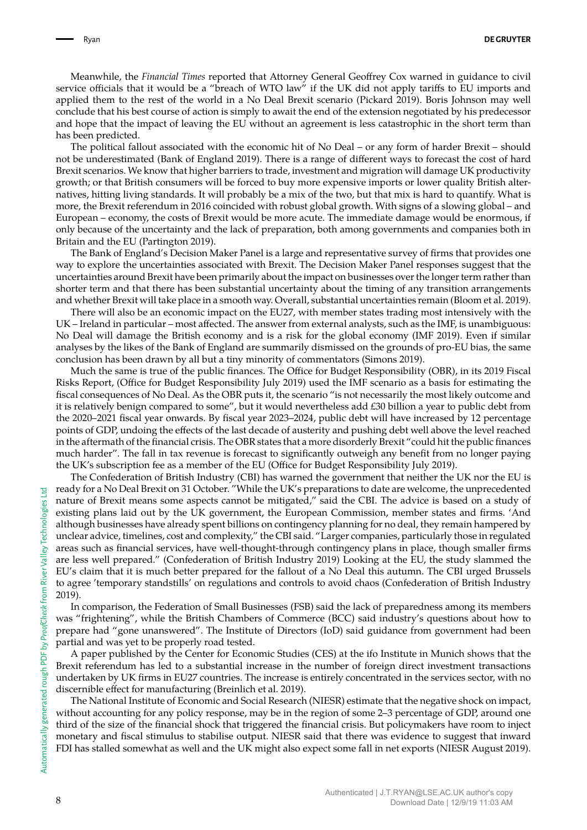Meanwhile, the *Financial Times* reported that Attorney General Geoffrey Cox warned in guidance to civil service officials that it would be a "breach of WTO law" if the UK did not apply tariffs to EU imports and applied them to the rest of the world in a No Deal Brexit scenario (Pickard 2019). Boris Johnson may well conclude that his best course of action is simply to await the end of the extension negotiated by his predecessor and hope that the impact of leaving the EU without an agreement is less catastrophic in the short term than has been predicted.

The political fallout associated with the economic hit of No Deal – or any form of harder Brexit – should not be underestimated (Bank of England 2019). There is a range of different ways to forecast the cost of hard Brexit scenarios. We know that higher barriers to trade, investment and migration will damage UK productivity growth; or that British consumers will be forced to buy more expensive imports or lower quality British alternatives, hitting living standards. It will probably be a mix of the two, but that mix is hard to quantify. What is more, the Brexit referendum in 2016 coincided with robust global growth. With signs of a slowing global – and European – economy, the costs of Brexit would be more acute. The immediate damage would be enormous, if only because of the uncertainty and the lack of preparation, both among governments and companies both in Britain and the EU (Partington 2019).

The Bank of England's Decision Maker Panel is a large and representative survey of firms that provides one way to explore the uncertainties associated with Brexit. The Decision Maker Panel responses suggest that the uncertainties around Brexit have been primarily about the impact on businesses over the longer term rather than shorter term and that there has been substantial uncertainty about the timing of any transition arrangements and whether Brexit will take place in a smooth way. Overall, substantial uncertainties remain (Bloom et al. 2019).

There will also be an economic impact on the EU27, with member states trading most intensively with the UK – Ireland in particular – most affected. The answer from external analysts, such as the IMF, is unambiguous: No Deal will damage the British economy and is a risk for the global economy (IMF 2019). Even if similar analyses by the likes of the Bank of England are summarily dismissed on the grounds of pro-EU bias, the same conclusion has been drawn by all but a tiny minority of commentators (Simons 2019).

Much the same is true of the public finances. The Office for Budget Responsibility (OBR), in its 2019 Fiscal Risks Report, (Office for Budget Responsibility July 2019) used the IMF scenario as a basis for estimating the fiscal consequences of No Deal. As the OBR puts it, the scenario "is not necessarily the most likely outcome and it is relatively benign compared to some", but it would nevertheless add £30 billion a year to public debt from the 2020–2021 fiscal year onwards. By fiscal year 2023–2024, public debt will have increased by 12 percentage points of GDP, undoing the effects of the last decade of austerity and pushing debt well above the level reached in the aftermath of the financial crisis. The OBR states that a more disorderly Brexit "could hit the public finances much harder". The fall in tax revenue is forecast to significantly outweigh any benefit from no longer paying the UK's subscription fee as a member of the EU (Office for Budget Responsibility July 2019).

The Confederation of British Industry (CBI) has warned the government that neither the UK nor the EU is ready for a No Deal Brexit on 31 October. "While the UK's preparations to date are welcome, the unprecedented nature of Brexit means some aspects cannot be mitigated," said the CBI. The advice is based on a study of existing plans laid out by the UK government, the European Commission, member states and firms. 'And although businesses have already spent billions on contingency planning for no deal, they remain hampered by unclear advice, timelines, cost and complexity," the CBI said. "Larger companies, particularly those in regulated areas such as financial services, have well-thought-through contingency plans in place, though smaller firms are less well prepared." (Confederation of British Industry 2019) Looking at the EU, the study slammed the EU's claim that it is much better prepared for the fallout of a No Deal this autumn. The CBI urged Brussels to agree 'temporary standstills' on regulations and controls to avoid chaos (Confederation of British Industry 2019).

In comparison, the Federation of Small Businesses (FSB) said the lack of preparedness among its members was "frightening", while the British Chambers of Commerce (BCC) said industry's questions about how to prepare had "gone unanswered". The Institute of Directors (IoD) said guidance from government had been partial and was yet to be properly road tested.

A paper published by the Center for Economic Studies (CES) at the ifo Institute in Munich shows that the Brexit referendum has led to a substantial increase in the number of foreign direct investment transactions undertaken by UK firms in EU27 countries. The increase is entirely concentrated in the services sector, with no discernible effect for manufacturing (Breinlich et al. 2019).

The National Institute of Economic and Social Research (NIESR) estimate that the negative shock on impact, without accounting for any policy response, may be in the region of some 2–3 percentage of GDP, around one third of the size of the financial shock that triggered the financial crisis. But policymakers have room to inject monetary and fiscal stimulus to stabilise output. NIESR said that there was evidence to suggest that inward FDI has stalled somewhat as well and the UK might also expect some fall in net exports (NIESR August 2019).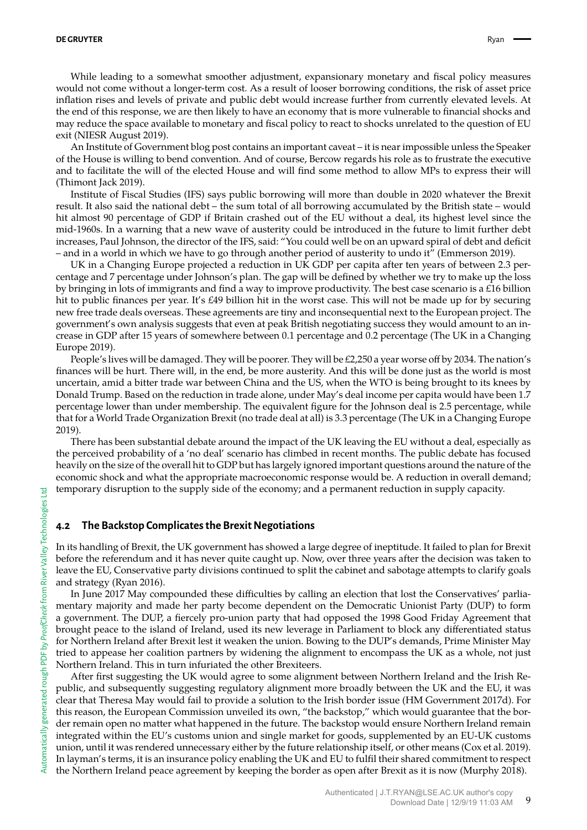While leading to a somewhat smoother adjustment, expansionary monetary and fiscal policy measures would not come without a longer-term cost. As a result of looser borrowing conditions, the risk of asset price inflation rises and levels of private and public debt would increase further from currently elevated levels. At the end of this response, we are then likely to have an economy that is more vulnerable to financial shocks and may reduce the space available to monetary and fiscal policy to react to shocks unrelated to the question of EU exit (NIESR August 2019).

An Institute of Government blog post contains an important caveat – it is near impossible unless the Speaker of the House is willing to bend convention. And of course, Bercow regards his role as to frustrate the executive and to facilitate the will of the elected House and will find some method to allow MPs to express their will (Thimont Jack 2019).

Institute of Fiscal Studies (IFS) says public borrowing will more than double in 2020 whatever the Brexit result. It also said the national debt – the sum total of all borrowing accumulated by the British state – would hit almost 90 percentage of GDP if Britain crashed out of the EU without a deal, its highest level since the mid-1960s. In a warning that a new wave of austerity could be introduced in the future to limit further debt increases, Paul Johnson, the director of the IFS, said: "You could well be on an upward spiral of debt and deficit – and in a world in which we have to go through another period of austerity to undo it" (Emmerson 2019).

UK in a Changing Europe projected a reduction in UK GDP per capita after ten years of between 2.3 percentage and 7 percentage under Johnson's plan. The gap will be defined by whether we try to make up the loss by bringing in lots of immigrants and find a way to improve productivity. The best case scenario is a £16 billion hit to public finances per year. It's £49 billion hit in the worst case. This will not be made up for by securing new free trade deals overseas. These agreements are tiny and inconsequential next to the European project. The government's own analysis suggests that even at peak British negotiating success they would amount to an increase in GDP after 15 years of somewhere between 0.1 percentage and 0.2 percentage (The UK in a Changing Europe 2019).

People's lives will be damaged. They will be poorer. They will be £2,250 a year worse off by 2034. The nation's finances will be hurt. There will, in the end, be more austerity. And this will be done just as the world is most uncertain, amid a bitter trade war between China and the US, when the WTO is being brought to its knees by Donald Trump. Based on the reduction in trade alone, under May's deal income per capita would have been 1.7 percentage lower than under membership. The equivalent figure for the Johnson deal is 2.5 percentage, while that for a World Trade Organization Brexit (no trade deal at all) is 3.3 percentage (The UK in a Changing Europe 2019).

There has been substantial debate around the impact of the UK leaving the EU without a deal, especially as the perceived probability of a 'no deal' scenario has climbed in recent months. The public debate has focused heavily on the size of the overall hit to GDP but has largely ignored important questions around the nature of the economic shock and what the appropriate macroeconomic response would be. A reduction in overall demand; temporary disruption to the supply side of the economy; and a permanent reduction in supply capacity.

#### **4.2 The Backstop Complicates the Brexit Negotiations**

In its handling of Brexit, the UK government has showed a large degree of ineptitude. It failed to plan for Brexit before the referendum and it has never quite caught up. Now, over three years after the decision was taken to leave the EU, Conservative party divisions continued to split the cabinet and sabotage attempts to clarify goals and strategy (Ryan 2016).

In June 2017 May compounded these difficulties by calling an election that lost the Conservatives' parliamentary majority and made her party become dependent on the Democratic Unionist Party (DUP) to form a government. The DUP, a fiercely pro-union party that had opposed the 1998 Good Friday Agreement that brought peace to the island of Ireland, used its new leverage in Parliament to block any differentiated status for Northern Ireland after Brexit lest it weaken the union. Bowing to the DUP's demands, Prime Minister May tried to appease her coalition partners by widening the alignment to encompass the UK as a whole, not just Northern Ireland. This in turn infuriated the other Brexiteers.

After first suggesting the UK would agree to some alignment between Northern Ireland and the Irish Republic, and subsequently suggesting regulatory alignment more broadly between the UK and the EU, it was clear that Theresa May would fail to provide a solution to the Irish border issue (HM Government 2017d). For this reason, the European Commission unveiled its own, "the backstop," which would guarantee that the border remain open no matter what happened in the future. The backstop would ensure Northern Ireland remain integrated within the EU's customs union and single market for goods, supplemented by an EU-UK customs union, until it was rendered unnecessary either by the future relationship itself, or other means (Cox et al. 2019). In layman's terms, it is an insurance policy enabling the UK and EU to fulfil their shared commitment to respect the Northern Ireland peace agreement by keeping the border as open after Brexit as it is now (Murphy 2018).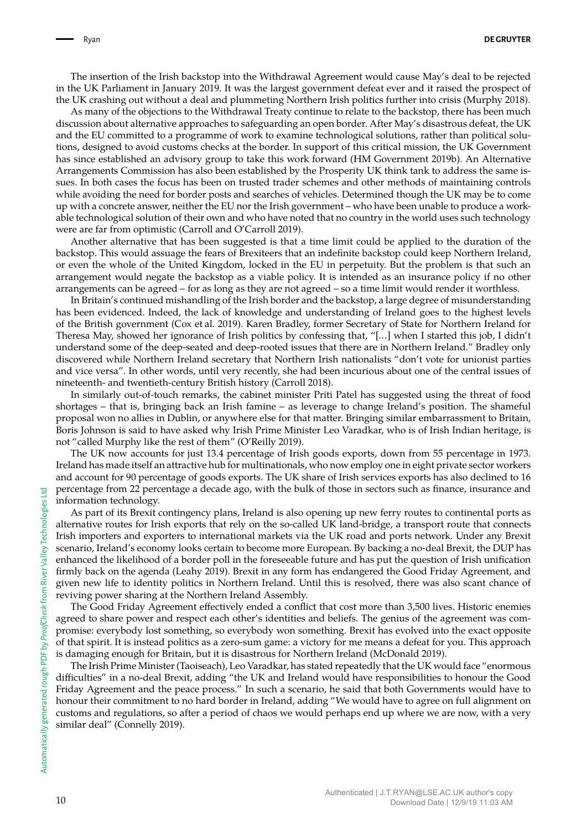The insertion of the Irish backstop into the Withdrawal Agreement would cause May's deal to be rejected in the UK Parliament in January 2019. It was the largest government defeat ever and it raised the prospect of the UK crashing out without a deal and plummeting Northern Irish politics further into crisis (Murphy 2018).

As many of the objections to the Withdrawal Treaty continue to relate to the backstop, there has been much discussion about alternative approaches to safeguarding an open border. After May's disastrous defeat, the UK and the EU committed to a programme of work to examine technological solutions, rather than political solutions, designed to avoid customs checks at the border. In support of this critical mission, the UK Government has since established an advisory group to take this work forward (HM Government 2019b). An Alternative Arrangements Commission has also been established by the Prosperity UK think tank to address the same issues. In both cases the focus has been on trusted trader schemes and other methods of maintaining controls while avoiding the need for border posts and searches of vehicles. Determined though the UK may be to come up with a concrete answer, neither the EU nor the Irish government – who have been unable to produce a workable technological solution of their own and who have noted that no country in the world uses such technology were are far from optimistic (Carroll and O'Carroll 2019).

Another alternative that has been suggested is that a time limit could be applied to the duration of the backstop. This would assuage the fears of Brexiteers that an indefinite backstop could keep Northern Ireland, or even the whole of the United Kingdom, locked in the EU in perpetuity. But the problem is that such an arrangement would negate the backstop as a viable policy. It is intended as an insurance policy if no other arrangements can be agreed – for as long as they are not agreed – so a time limit would render it worthless.

In Britain's continued mishandling of the Irish border and the backstop, a large degree of misunderstanding has been evidenced. Indeed, the lack of knowledge and understanding of Ireland goes to the highest levels of the British government (Cox et al. 2019). Karen Bradley, former Secretary of State for Northern Ireland for Theresa May, showed her ignorance of Irish politics by confessing that, "[…] when I started this job, I didn't understand some of the deep-seated and deep-rooted issues that there are in Northern Ireland." Bradley only discovered while Northern Ireland secretary that Northern Irish nationalists "don't vote for unionist parties and vice versa". In other words, until very recently, she had been incurious about one of the central issues of nineteenth- and twentieth-century British history (Carroll 2018).

In similarly out-of-touch remarks, the cabinet minister Priti Patel has suggested using the threat of food shortages – that is, bringing back an Irish famine – as leverage to change Ireland's position. The shameful proposal won no allies in Dublin, or anywhere else for that matter. Bringing similar embarrassment to Britain, Boris Johnson is said to have asked why Irish Prime Minister Leo Varadkar, who is of Irish Indian heritage, is not "called Murphy like the rest of them" (O'Reilly 2019).

The UK now accounts for just 13.4 percentage of Irish goods exports, down from 55 percentage in 1973. Ireland has made itself an attractive hub for multinationals, who now employ one in eight private sector workers and account for 90 percentage of goods exports. The UK share of Irish services exports has also declined to 16 percentage from 22 percentage a decade ago, with the bulk of those in sectors such as finance, insurance and information technology.

As part of its Brexit contingency plans, Ireland is also opening up new ferry routes to continental ports as alternative routes for Irish exports that rely on the so-called UK land-bridge, a transport route that connects Irish importers and exporters to international markets via the UK road and ports network. Under any Brexit scenario, Ireland's economy looks certain to become more European. By backing a no-deal Brexit, the DUP has enhanced the likelihood of a border poll in the foreseeable future and has put the question of Irish unification firmly back on the agenda (Leahy 2019). Brexit in any form has endangered the Good Friday Agreement, and given new life to identity politics in Northern Ireland. Until this is resolved, there was also scant chance of reviving power sharing at the Northern Ireland Assembly.

The Good Friday Agreement effectively ended a conflict that cost more than 3,500 lives. Historic enemies agreed to share power and respect each other's identities and beliefs. The genius of the agreement was compromise: everybody lost something, so everybody won something. Brexit has evolved into the exact opposite of that spirit. It is instead politics as a zero-sum game: a victory for me means a defeat for you. This approach is damaging enough for Britain, but it is disastrous for Northern Ireland (McDonald 2019).

The Irish Prime Minister (Taoiseach), Leo Varadkar, has stated repeatedly that the UK would face "enormous difficulties" in a no-deal Brexit, adding "the UK and Ireland would have responsibilities to honour the Good Friday Agreement and the peace process." In such a scenario, he said that both Governments would have to honour their commitment to no hard border in Ireland, adding "We would have to agree on full alignment on customs and regulations, so after a period of chaos we would perhaps end up where we are now, with a very similar deal" (Connelly 2019).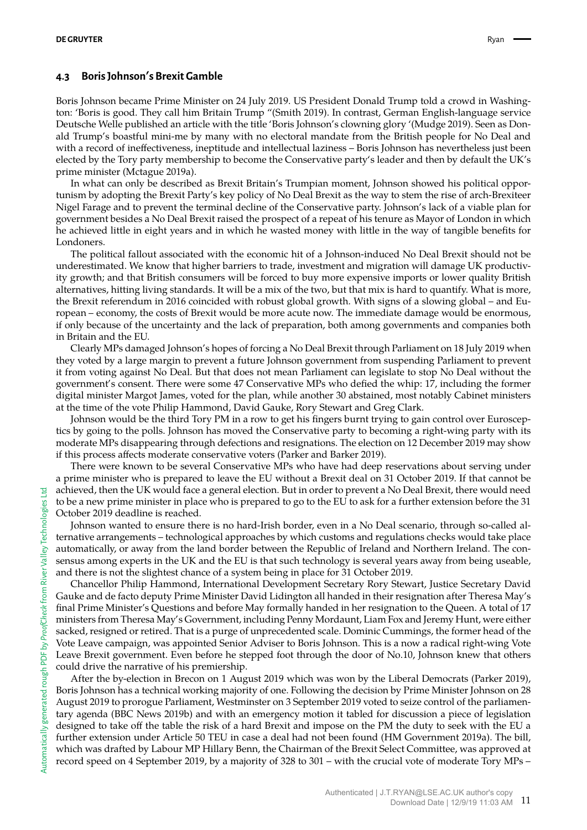#### **4.3 Boris Johnson**'**s Brexit Gamble**

Boris Johnson became Prime Minister on 24 July 2019. US President Donald Trump told a crowd in Washington: 'Boris is good. They call him Britain Trump "(Smith 2019). In contrast, German English-language service Deutsche Welle published an article with the title 'Boris Johnson's clowning glory '(Mudge 2019). Seen as Donald Trump's boastful mini-me by many with no electoral mandate from the British people for No Deal and with a record of ineffectiveness, ineptitude and intellectual laziness – Boris Johnson has nevertheless just been elected by the Tory party membership to become the Conservative party's leader and then by default the UK's prime minister (Mctague 2019a).

In what can only be described as Brexit Britain's Trumpian moment, Johnson showed his political opportunism by adopting the Brexit Party's key policy of No Deal Brexit as the way to stem the rise of arch-Brexiteer Nigel Farage and to prevent the terminal decline of the Conservative party. Johnson's lack of a viable plan for government besides a No Deal Brexit raised the prospect of a repeat of his tenure as Mayor of London in which he achieved little in eight years and in which he wasted money with little in the way of tangible benefits for Londoners.

The political fallout associated with the economic hit of a Johnson-induced No Deal Brexit should not be underestimated. We know that higher barriers to trade, investment and migration will damage UK productivity growth; and that British consumers will be forced to buy more expensive imports or lower quality British alternatives, hitting living standards. It will be a mix of the two, but that mix is hard to quantify. What is more, the Brexit referendum in 2016 coincided with robust global growth. With signs of a slowing global – and European – economy, the costs of Brexit would be more acute now. The immediate damage would be enormous, if only because of the uncertainty and the lack of preparation, both among governments and companies both in Britain and the EU.

Clearly MPs damaged Johnson's hopes of forcing a No Deal Brexit through Parliament on 18 July 2019 when they voted by a large margin to prevent a future Johnson government from suspending Parliament to prevent it from voting against No Deal. But that does not mean Parliament can legislate to stop No Deal without the government's consent. There were some 47 Conservative MPs who defied the whip: 17, including the former digital minister Margot James, voted for the plan, while another 30 abstained, most notably Cabinet ministers at the time of the vote Philip Hammond, David Gauke, Rory Stewart and Greg Clark.

Johnson would be the third Tory PM in a row to get his fingers burnt trying to gain control over Eurosceptics by going to the polls. Johnson has moved the Conservative party to becoming a right-wing party with its moderate MPs disappearing through defections and resignations. The election on 12 December 2019 may show if this process affects moderate conservative voters (Parker and Barker 2019).

There were known to be several Conservative MPs who have had deep reservations about serving under a prime minister who is prepared to leave the EU without a Brexit deal on 31 October 2019. If that cannot be achieved, then the UK would face a general election. But in order to prevent a No Deal Brexit, there would need to be a new prime minister in place who is prepared to go to the EU to ask for a further extension before the 31 October 2019 deadline is reached.

Johnson wanted to ensure there is no hard-Irish border, even in a No Deal scenario, through so-called alternative arrangements – technological approaches by which customs and regulations checks would take place automatically, or away from the land border between the Republic of Ireland and Northern Ireland. The consensus among experts in the UK and the EU is that such technology is several years away from being useable, and there is not the slightest chance of a system being in place for 31 October 2019.

Chancellor Philip Hammond, International Development Secretary Rory Stewart, Justice Secretary David Gauke and de facto deputy Prime Minister David Lidington all handed in their resignation after Theresa May's final Prime Minister's Questions and before May formally handed in her resignation to the Queen. A total of 17 ministers from Theresa May's Government, including Penny Mordaunt, Liam Fox and Jeremy Hunt, were either sacked, resigned or retired. That is a purge of unprecedented scale. Dominic Cummings, the former head of the Vote Leave campaign, was appointed Senior Adviser to Boris Johnson. This is a now a radical right-wing Vote Leave Brexit government. Even before he stepped foot through the door of No.10, Johnson knew that others could drive the narrative of his premiership.

After the by-election in Brecon on 1 August 2019 which was won by the Liberal Democrats (Parker 2019), Boris Johnson has a technical working majority of one. Following the decision by Prime Minister Johnson on 28 August 2019 to prorogue Parliament, Westminster on 3 September 2019 voted to seize control of the parliamentary agenda (BBC News 2019b) and with an emergency motion it tabled for discussion a piece of legislation designed to take off the table the risk of a hard Brexit and impose on the PM the duty to seek with the EU a further extension under Article 50 TEU in case a deal had not been found (HM Government 2019a). The bill, which was drafted by Labour MP Hillary Benn, the Chairman of the Brexit Select Committee, was approved at record speed on 4 September 2019, by a majority of 328 to 301 – with the crucial vote of moderate Tory MPs –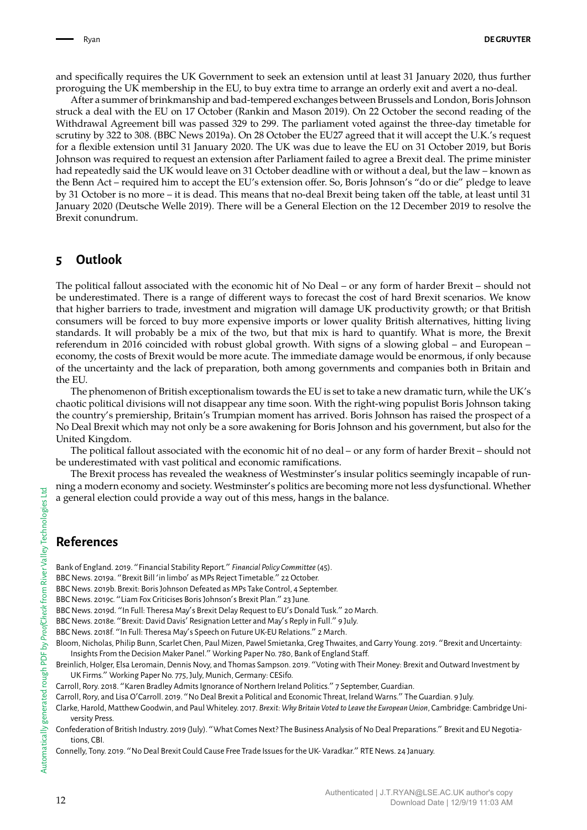and specifically requires the UK Government to seek an extension until at least 31 January 2020, thus further proroguing the UK membership in the EU, to buy extra time to arrange an orderly exit and avert a no-deal.

After a summer of brinkmanship and bad-tempered exchanges between Brussels and London, Boris Johnson struck a deal with the EU on 17 October (Rankin and Mason 2019). On 22 October the second reading of the Withdrawal Agreement bill was passed 329 to 299. The parliament voted against the three-day timetable for scrutiny by 322 to 308. (BBC News 2019a). On 28 October the EU27 agreed that it will accept the U.K.'s request for a flexible extension until 31 January 2020. The UK was due to leave the EU on 31 October 2019, but Boris Johnson was required to request an extension after Parliament failed to agree a Brexit deal. The prime minister had repeatedly said the UK would leave on 31 October deadline with or without a deal, but the law – known as the Benn Act – required him to accept the EU's extension offer. So, Boris Johnson's "do or die" pledge to leave by 31 October is no more – it is dead. This means that no-deal Brexit being taken off the table, at least until 31 January 2020 (Deutsche Welle 2019). There will be a General Election on the 12 December 2019 to resolve the Brexit conundrum.

# **5 Outlook**

The political fallout associated with the economic hit of No Deal – or any form of harder Brexit – should not be underestimated. There is a range of different ways to forecast the cost of hard Brexit scenarios. We know that higher barriers to trade, investment and migration will damage UK productivity growth; or that British consumers will be forced to buy more expensive imports or lower quality British alternatives, hitting living standards. It will probably be a mix of the two, but that mix is hard to quantify. What is more, the Brexit referendum in 2016 coincided with robust global growth. With signs of a slowing global – and European – economy, the costs of Brexit would be more acute. The immediate damage would be enormous, if only because of the uncertainty and the lack of preparation, both among governments and companies both in Britain and the EU.

The phenomenon of British exceptionalism towards the EU is set to take a new dramatic turn, while the UK's chaotic political divisions will not disappear any time soon. With the right-wing populist Boris Johnson taking the country's premiership, Britain's Trumpian moment has arrived. Boris Johnson has raised the prospect of a No Deal Brexit which may not only be a sore awakening for Boris Johnson and his government, but also for the United Kingdom.

The political fallout associated with the economic hit of no deal – or any form of harder Brexit – should not be underestimated with vast political and economic ramifications.

The Brexit process has revealed the weakness of Westminster's insular politics seemingly incapable of running a modern economy and society. Westminster's politics are becoming more not less dysfunctional. Whether a general election could provide a way out of this mess, hangs in the balance.

# **References**

Bank of England. 2019. "Financial Stability Report." *Financial Policy Committee*(45).

- BBC News. 2019a. "Brexit Bill 'in limbo' as MPs Reject Timetable." 22 October.
- BBC News. 2019b. Brexit: Boris Johnson Defeated as MPs Take Control, 4 September.
- BBC News. 2019c. "Liam Fox Criticises Boris Johnson's Brexit Plan." 23 June.
- BBC News. 2019d. "In Full: Theresa May's Brexit Delay Request to EU's Donald Tusk." 20 March.
- BBC News. 2018e. "Brexit: David Davis' Resignation Letter and May's Reply in Full." 9 July.
- BBC News. 2018f. "In Full: Theresa May's Speech on Future UK-EU Relations." 2 March.
- Bloom, Nicholas, Philip Bunn, Scarlet Chen, Paul Mizen, Pawel Smietanka, Greg Thwaites, and Garry Young. 2019. "Brexit and Uncertainty: Insights From the Decision Maker Panel." Working Paper No. 780, Bank of England Staff.
- Breinlich, Holger, Elsa Leromain, Dennis Novy, and Thomas Sampson. 2019. "Voting with Their Money: Brexit and Outward Investment by UK Firms." Working Paper No. 775, July, Munich, Germany: CESifo.
- Carroll, Rory. 2018. "Karen Bradley Admits Ignorance of Northern Ireland Politics." 7 September, Guardian.
- Carroll, Rory, and Lisa O'Carroll. 2019. "No Deal Brexit a Political and Economic Threat, Ireland Warns." The Guardian. 9 July.
- Clarke, Harold, Matthew Goodwin, and Paul Whiteley. 2017. *Brexit: Why Britain Voted to Leave the European Union*, Cambridge: Cambridge University Press.
- Confederation of British Industry. 2019 (July). "What Comes Next? The Business Analysis of No Deal Preparations." Brexit and EU Negotiations, CBI.

Connelly, Tony. 2019. "No Deal Brexit Could Cause Free Trade Issues for the UK- Varadkar." RTE News. 24 January.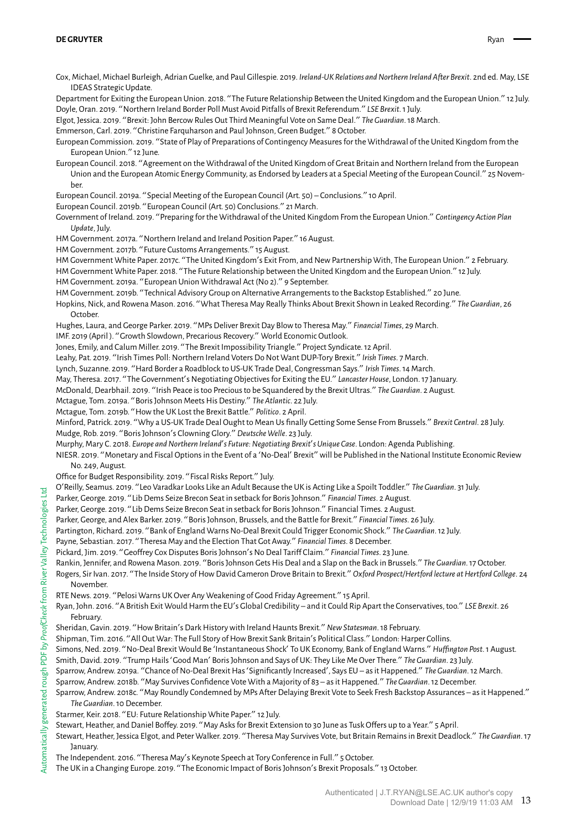Cox, Michael, Michael Burleigh, Adrian Guelke, and Paul Gillespie. 2019. *Ireland-UK Relations and Northern Ireland After Brexit*. 2nd ed. May, LSE IDEAS Strategic Update.

Department for Exiting the European Union. 2018. "The Future Relationship Between the United Kingdom and the European Union." 12 July. Doyle, Oran. 2019. "Northern Ireland Border Poll Must Avoid Pitfalls of Brexit Referendum." *LSE Brexit*. 1 July.

Elgot, Jessica. 2019. "Brexit: John Bercow Rules Out Third Meaningful Vote on Same Deal." *The Guardian*. 18 March.

Emmerson, Carl. 2019. "Christine Farquharson and Paul Johnson, Green Budget." 8 October.

European Commission. 2019. "State of Play of Preparations of Contingency Measures for the Withdrawal of the United Kingdom from the European Union." 12 June.

European Council. 2018. "Agreement on the Withdrawal of the United Kingdom of Great Britain and Northern Ireland from the European Union and the European Atomic Energy Community, as Endorsed by Leaders at a Special Meeting of the European Council." 25 November.

European Council. 2019a. "Special Meeting of the European Council (Art. 50) – Conclusions." 10 April.

European Council. 2019b. "European Council (Art. 50) Conclusions." 21 March.

Government of Ireland. 2019. "Preparing for the Withdrawal of the United Kingdom From the European Union." *Contingency Action Plan Update*, July.

HM Government. 2017a. "Northern Ireland and Ireland Position Paper." 16 August.

HM Government. 2017b. "Future Customs Arrangements." 15 August.

HM Government White Paper. 2017c. "The United Kingdom's Exit From, and New Partnership With, The European Union." 2 February.

HM Government White Paper. 2018. "The Future Relationship between the United Kingdom and the European Union." 12 July.

HM Government. 2019a. "European Union Withdrawal Act (No 2)." 9 September.

HM Government. 2019b. "Technical Advisory Group on Alternative Arrangements to the Backstop Established." 20 June.

Hopkins, Nick, and Rowena Mason. 2016. "What Theresa May Really Thinks About Brexit Shown in Leaked Recording." *The Guardian*, 26 October.

Hughes, Laura, and George Parker. 2019. "MPs Deliver Brexit Day Blow to Theresa May." *Financial Times*, 29 March.

IMF. 2019 (April ). "Growth Slowdown, Precarious Recovery." World Economic Outlook.

Jones, Emily, and Calum Miller. 2019. "The Brexit Impossibility Triangle." Project Syndicate. 12 April.

Leahy, Pat. 2019. "Irish Times Poll: Northern Ireland Voters Do Not Want DUP-Tory Brexit." *Irish Times*. 7 March.

Lynch, Suzanne. 2019. "Hard Border a Roadblock to US-UK Trade Deal, Congressman Says." *Irish Times*. 14 March.

May, Theresa. 2017. "The Government's Negotiating Objectives for Exiting the EU." *Lancaster House*, London. 17 January.

McDonald, Dearbhail. 2019. "Irish Peace is too Precious to be Squandered by the Brexit Ultras." *The Guardian*. 2 August.

Mctague, Tom. 2019a. "Boris Johnson Meets His Destiny." *The Atlantic*. 22 July.

Mctague, Tom. 2019b. "How the UK Lost the Brexit Battle." *Politico*. 2 April.

Minford, Patrick. 2019. "Why a US-UK Trade Deal Ought to Mean Us finally Getting Some Sense From Brussels." *Brexit Central*. 28 July. Mudge, Rob. 2019. "Boris Johnson's Clowning Glory." *Deutsche Welle*. 23 July.

Murphy, Mary C. 2018. *Europe and Northern Ireland*'*s Future: Negotiating Brexit*'*s Unique Case*. London: Agenda Publishing.

NIESR. 2019. "Monetary and Fiscal Options in the Event of a 'No-Deal' Brexit"will be Published in the National Institute Economic Review No. 249, August.

Office for Budget Responsibility. 2019. "Fiscal Risks Report." July.

O'Reilly, Seamus. 2019. "Leo Varadkar Looks Like an Adult Because the UK is Acting Like a Spoilt Toddler." *The Guardian*. 31 July.

Parker, George. 2019. "Lib Dems Seize Brecon Seat in setback for Boris Johnson." *Financial Times*. 2 August.

Parker, George. 2019. "Lib Dems Seize Brecon Seat in setback for Boris Johnson." Financial Times. 2 August.

Parker, George, and Alex Barker. 2019. "Boris Johnson, Brussels, and the Battle for Brexit." *Financial Times*. 26 July.

Partington, Richard. 2019. "Bank of England Warns No-Deal Brexit Could Trigger Economic Shock." *The Guardian*. 12 July.

Payne, Sebastian. 2017. "Theresa May and the Election That Got Away." *Financial Times*. 8 December.

Pickard, Jim. 2019. "Geoffrey Cox Disputes Boris Johnson's No Deal Tariff Claim." *Financial Times*. 23 June.

Rankin, Jennifer, and Rowena Mason. 2019. "Boris Johnson Gets His Deal and a Slap on the Back in Brussels." *The Guardian*. 17 October.

Rogers, Sir Ivan. 2017. "The Inside Story of How David Cameron Drove Britain to Brexit." *Oxford Prospect/Hertford lecture at Hertford College*. 24 November.

RTE News. 2019. "Pelosi Warns UK Over Any Weakening of Good Friday Agreement." 15 April.

Ryan, John. 2016. "A British Exit Would Harm the EU's Global Credibility – and it Could Rip Apart the Conservatives, too." *LSE Brexit*. 26 February.

Sheridan, Gavin. 2019. "How Britain's Dark History with Ireland Haunts Brexit." *New Statesman*. 18 February.

Shipman, Tim. 2016. "All Out War: The Full Story of How Brexit Sank Britain's Political Class." London: Harper Collins.

Simons, Ned. 2019. "No-Deal Brexit Would Be 'Instantaneous Shock' To UK Economy, Bank of England Warns." *Huffington Post*. 1 August.

Smith, David. 2019. "Trump Hails'Good Man' Boris Johnson and Says of UK: They Like Me Over There." *The Guardian*. 23 July.

Sparrow, Andrew. 2019a. "Chance of No-Deal Brexit Has'Significantly Increased', Says EU – as it Happened." *The Guardian*. 12 March.

Sparrow, Andrew. 2018b. "May Survives Confidence Vote With a Majority of 83 – as it Happened." *The Guardian*. 12 December.

Sparrow, Andrew. 2018c. "May Roundly Condemned by MPs After Delaying Brexit Vote to Seek Fresh Backstop Assurances – as it Happened." *The Guardian*. 10 December.

Starmer, Keir. 2018. "EU: Future Relationship White Paper." 12 July.

Stewart, Heather, and Daniel Boffey. 2019. "May Asks for Brexit Extension to 30 June as Tusk Offers up to a Year." 5 April.

Stewart, Heather, Jessica Elgot, and Peter Walker. 2019. "Theresa May Survives Vote, but Britain Remains in Brexit Deadlock." *The Guardian*. 17 **January.** 

The Independent. 2016. "Theresa May's Keynote Speech at Tory Conference in Full." 5 October.

The UK in a Changing Europe. 2019. "The Economic Impact of Boris Johnson's Brexit Proposals." 13 October.

먹